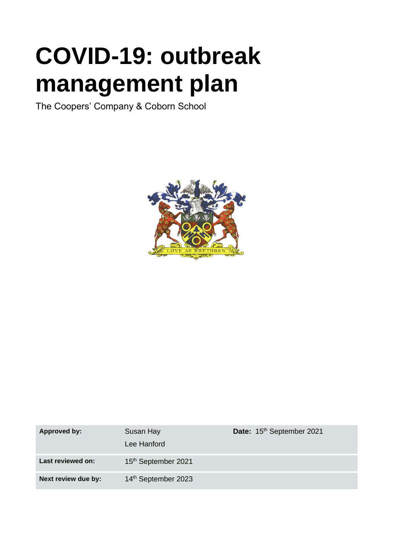# **COVID-19: outbreak management plan**

The Coopers' Company & Coborn School



| Approved by:        | Susan Hay<br>Lee Hanford        | Date: 15th September 2021 |
|---------------------|---------------------------------|---------------------------|
| Last reviewed on:   | 15 <sup>th</sup> September 2021 |                           |
| Next review due by: | 14th September 2023             |                           |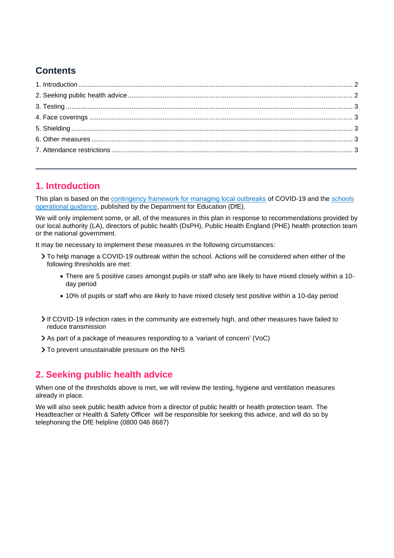# **Contents**

## **1. Introduction**

This plan is based on the contingency framework for managing local outbreaks of COVID-19 and the schools operational guidance, published by the Department for Education (DfE).

We will only implement some, or all, of the measures in this plan in response to recommendations provided by our local authority (LA), directors of public health (DsPH), Public Health England (PHE) health protection team or the national government.

It may be necessary to implement these measures in the following circumstances:

- To help manage a COVID-19 outbreak within the school. Actions will be considered when either of the following thresholds are met:
	- There are 5 positive cases amongst pupils or staff who are likely to have mixed closely within a 10 day period
	- 10% of pupils or staff who are likely to have mixed closely test positive within a 10-day period
- If COVID-19 infection rates in the community are extremely high, and other measures have failed to reduce transmission
- As part of a package of measures responding to a 'variant of concern' (VoC)
- > To prevent unsustainable pressure on the NHS

## **2. Seeking public health advice**

When one of the thresholds above is met, we will review the testing, hygiene and ventilation measures already in place.

We will also seek public health advice from a director of public health or health protection team. The Headteacher or Health & Safety Officer will be responsible for seeking this advice, and will do so by telephoning the DfE helpline (0800 046 8687)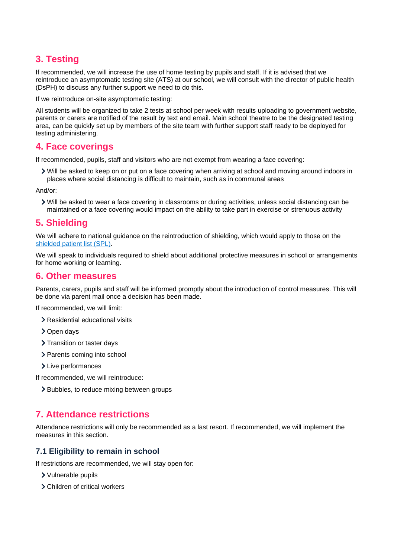# **3. Testing**

If recommended, we will increase the use of home testing by pupils and staff. If it is advised that we reintroduce an asymptomatic testing site (ATS) at our school, we will consult with the director of public health (DsPH) to discuss any further support we need to do this.

If we reintroduce on-site asymptomatic testing:

All students will be organized to take 2 tests at school per week with results uploading to government website, parents or carers are notified of the result by text and email. Main school theatre to be the designated testing area, can be quickly set up by members of the site team with further support staff ready to be deployed for testing administering.

## **4. Face coverings**

If recommended, pupils, staff and visitors who are not exempt from wearing a face covering:

Will be asked to keep on or put on a face covering when arriving at school and moving around indoors in places where social distancing is difficult to maintain, such as in communal areas

And/or:

Will be asked to wear a face covering in classrooms or during activities, unless social distancing can be maintained or a face covering would impact on the ability to take part in exercise or strenuous activity

## **5. Shielding**

We will adhere to national guidance on the reintroduction of shielding, which would apply to those on the shielded patient list (SPL).

We will speak to individuals required to shield about additional protective measures in school or arrangements for home working or learning.

## **6. Other measures**

Parents, carers, pupils and staff will be informed promptly about the introduction of control measures. This will be done via parent mail once a decision has been made.

If recommended, we will limit:

- Residential educational visits
- > Open days
- > Transition or taster days
- > Parents coming into school
- > Live performances
- If recommended, we will reintroduce:
	- > Bubbles, to reduce mixing between groups

## **7. Attendance restrictions**

Attendance restrictions will only be recommended as a last resort. If recommended, we will implement the measures in this section.

#### **7.1 Eligibility to remain in school**

If restrictions are recommended, we will stay open for:

- Vulnerable pupils
- Children of critical workers